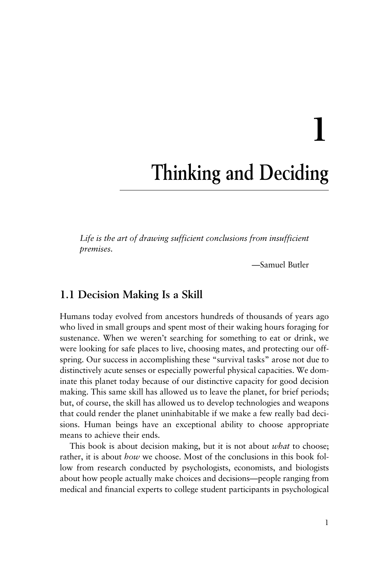# **1 Thinking and Deciding**

*Life is the art of drawing sufficient conclusions from insufficient premises.*

—Samuel Butler

# **1.1 Decision Making Is a Skill**

Humans today evolved from ancestors hundreds of thousands of years ago who lived in small groups and spent most of their waking hours foraging for sustenance. When we weren't searching for something to eat or drink, we were looking for safe places to live, choosing mates, and protecting our offspring. Our success in accomplishing these "survival tasks" arose not due to distinctively acute senses or especially powerful physical capacities. We dominate this planet today because of our distinctive capacity for good decision making. This same skill has allowed us to leave the planet, for brief periods; but, of course, the skill has allowed us to develop technologies and weapons that could render the planet uninhabitable if we make a few really bad decisions. Human beings have an exceptional ability to choose appropriate means to achieve their ends.

This book is about decision making, but it is not about *what* to choose; rather, it is about *how* we choose. Most of the conclusions in this book follow from research conducted by psychologists, economists, and biologists about how people actually make choices and decisions—people ranging from medical and financial experts to college student participants in psychological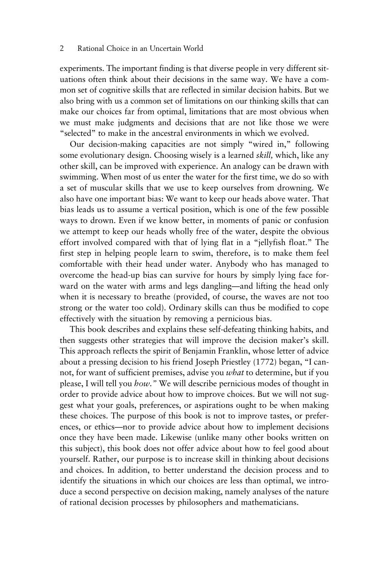#### 2——Rational Choice in an Uncertain World

experiments. The important finding is that diverse people in very different situations often think about their decisions in the same way. We have a common set of cognitive skills that are reflected in similar decision habits. But we also bring with us a common set of limitations on our thinking skills that can make our choices far from optimal, limitations that are most obvious when we must make judgments and decisions that are not like those we were "selected" to make in the ancestral environments in which we evolved.

Our decision-making capacities are not simply "wired in," following some evolutionary design. Choosing wisely is a learned *skill,* which, like any other skill, can be improved with experience. An analogy can be drawn with swimming. When most of us enter the water for the first time, we do so with a set of muscular skills that we use to keep ourselves from drowning. We also have one important bias: We want to keep our heads above water. That bias leads us to assume a vertical position, which is one of the few possible ways to drown. Even if we know better, in moments of panic or confusion we attempt to keep our heads wholly free of the water, despite the obvious effort involved compared with that of lying flat in a "jellyfish float." The first step in helping people learn to swim, therefore, is to make them feel comfortable with their head under water. Anybody who has managed to overcome the head-up bias can survive for hours by simply lying face forward on the water with arms and legs dangling—and lifting the head only when it is necessary to breathe (provided, of course, the waves are not too strong or the water too cold). Ordinary skills can thus be modified to cope effectively with the situation by removing a pernicious bias.

This book describes and explains these self-defeating thinking habits, and then suggests other strategies that will improve the decision maker's skill. This approach reflects the spirit of Benjamin Franklin, whose letter of advice about a pressing decision to his friend Joseph Priestley (1772) began, "I cannot, for want of sufficient premises, advise you *what* to determine, but if you please, I will tell you *how."* We will describe pernicious modes of thought in order to provide advice about how to improve choices. But we will not suggest what your goals, preferences, or aspirations ought to be when making these choices. The purpose of this book is not to improve tastes, or preferences, or ethics—nor to provide advice about how to implement decisions once they have been made. Likewise (unlike many other books written on this subject), this book does not offer advice about how to feel good about yourself. Rather, our purpose is to increase skill in thinking about decisions and choices. In addition, to better understand the decision process and to identify the situations in which our choices are less than optimal, we introduce a second perspective on decision making, namely analyses of the nature of rational decision processes by philosophers and mathematicians.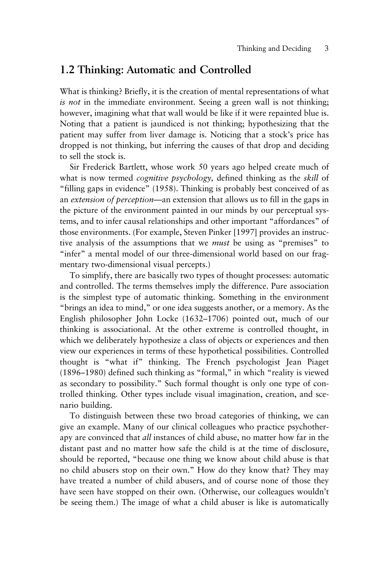## **1.2 Thinking: Automatic and Controlled**

What is thinking? Briefly, it is the creation of mental representations of what *is not* in the immediate environment. Seeing a green wall is not thinking; however, imagining what that wall would be like if it were repainted blue is. Noting that a patient is jaundiced is not thinking; hypothesizing that the patient may suffer from liver damage is. Noticing that a stock's price has dropped is not thinking, but inferring the causes of that drop and deciding to sell the stock is.

Sir Frederick Bartlett, whose work 50 years ago helped create much of what is now termed *cognitive psychology,* defined thinking as the *skill* of "filling gaps in evidence" (1958). Thinking is probably best conceived of as an *extension of perception*—an extension that allows us to fill in the gaps in the picture of the environment painted in our minds by our perceptual systems, and to infer causal relationships and other important "affordances" of those environments. (For example, Steven Pinker [1997] provides an instructive analysis of the assumptions that we *must* be using as "premises" to "infer" a mental model of our three-dimensional world based on our fragmentary two-dimensional visual percepts.)

To simplify, there are basically two types of thought processes: automatic and controlled. The terms themselves imply the difference. Pure association is the simplest type of automatic thinking. Something in the environment "brings an idea to mind," or one idea suggests another, or a memory. As the English philosopher John Locke (1632–1706) pointed out, much of our thinking is associational. At the other extreme is controlled thought, in which we deliberately hypothesize a class of objects or experiences and then view our experiences in terms of these hypothetical possibilities. Controlled thought is "what if" thinking. The French psychologist Jean Piaget (1896–1980) defined such thinking as "formal," in which "reality is viewed as secondary to possibility." Such formal thought is only one type of controlled thinking. Other types include visual imagination, creation, and scenario building.

To distinguish between these two broad categories of thinking, we can give an example. Many of our clinical colleagues who practice psychotherapy are convinced that *all* instances of child abuse, no matter how far in the distant past and no matter how safe the child is at the time of disclosure, should be reported, "because one thing we know about child abuse is that no child abusers stop on their own." How do they know that? They may have treated a number of child abusers, and of course none of those they have seen have stopped on their own. (Otherwise, our colleagues wouldn't be seeing them.) The image of what a child abuser is like is automatically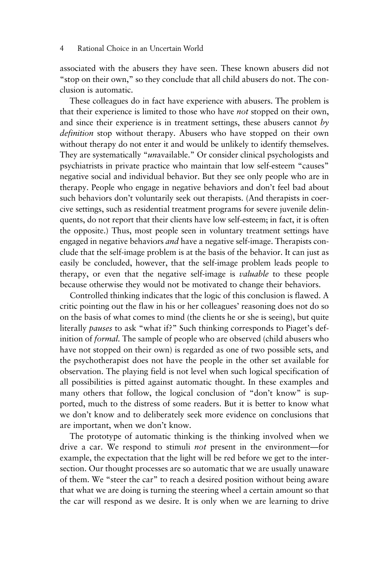associated with the abusers they have seen. These known abusers did not "stop on their own," so they conclude that all child abusers do not. The conclusion is automatic.

These colleagues do in fact have experience with abusers. The problem is that their experience is limited to those who have *not* stopped on their own, and since their experience is in treatment settings, these abusers cannot *by definition* stop without therapy. Abusers who have stopped on their own without therapy do not enter it and would be unlikely to identify themselves. They are systematically "*un*available." Or consider clinical psychologists and psychiatrists in private practice who maintain that low self-esteem "causes" negative social and individual behavior. But they see only people who are in therapy. People who engage in negative behaviors and don't feel bad about such behaviors don't voluntarily seek out therapists. (And therapists in coercive settings, such as residential treatment programs for severe juvenile delinquents, do not report that their clients have low self-esteem; in fact, it is often the opposite.) Thus, most people seen in voluntary treatment settings have engaged in negative behaviors *and* have a negative self-image. Therapists conclude that the self-image problem is at the basis of the behavior. It can just as easily be concluded, however, that the self-image problem leads people to therapy, or even that the negative self-image is *valuable* to these people because otherwise they would not be motivated to change their behaviors.

Controlled thinking indicates that the logic of this conclusion is flawed. A critic pointing out the flaw in his or her colleagues' reasoning does not do so on the basis of what comes to mind (the clients he or she is seeing), but quite literally *pauses* to ask "what if?" Such thinking corresponds to Piaget's definition of *formal.* The sample of people who are observed (child abusers who have not stopped on their own) is regarded as one of two possible sets, and the psychotherapist does not have the people in the other set available for observation. The playing field is not level when such logical specification of all possibilities is pitted against automatic thought. In these examples and many others that follow, the logical conclusion of "don't know" is supported, much to the distress of some readers. But it is better to know what we don't know and to deliberately seek more evidence on conclusions that are important, when we don't know.

The prototype of automatic thinking is the thinking involved when we drive a car. We respond to stimuli *not* present in the environment—for example, the expectation that the light will be red before we get to the intersection. Our thought processes are so automatic that we are usually unaware of them. We "steer the car" to reach a desired position without being aware that what we are doing is turning the steering wheel a certain amount so that the car will respond as we desire. It is only when we are learning to drive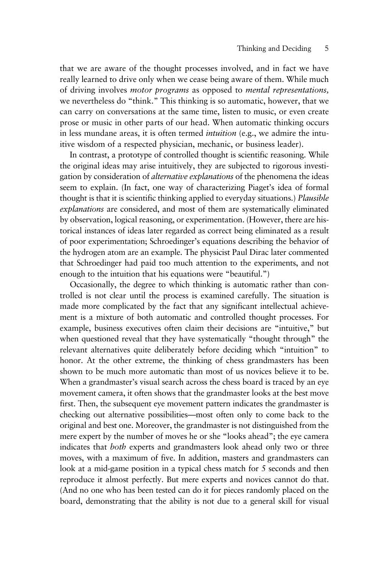that we are aware of the thought processes involved, and in fact we have really learned to drive only when we cease being aware of them. While much of driving involves *motor programs* as opposed to *mental representations,* we nevertheless do "think." This thinking is so automatic, however, that we can carry on conversations at the same time, listen to music, or even create prose or music in other parts of our head. When automatic thinking occurs in less mundane areas, it is often termed *intuition* (e.g., we admire the intuitive wisdom of a respected physician, mechanic, or business leader).

In contrast, a prototype of controlled thought is scientific reasoning. While the original ideas may arise intuitively, they are subjected to rigorous investigation by consideration of *alternative explanations* of the phenomena the ideas seem to explain. (In fact, one way of characterizing Piaget's idea of formal thought is that it is scientific thinking applied to everyday situations.) *Plausible explanations* are considered, and most of them are systematically eliminated by observation, logical reasoning, or experimentation. (However, there are historical instances of ideas later regarded as correct being eliminated as a result of poor experimentation; Schroedinger's equations describing the behavior of the hydrogen atom are an example. The physicist Paul Dirac later commented that Schroedinger had paid too much attention to the experiments, and not enough to the intuition that his equations were "beautiful.")

Occasionally, the degree to which thinking is automatic rather than controlled is not clear until the process is examined carefully. The situation is made more complicated by the fact that any significant intellectual achievement is a mixture of both automatic and controlled thought processes. For example, business executives often claim their decisions are "intuitive," but when questioned reveal that they have systematically "thought through" the relevant alternatives quite deliberately before deciding which "intuition" to honor. At the other extreme, the thinking of chess grandmasters has been shown to be much more automatic than most of us novices believe it to be. When a grandmaster's visual search across the chess board is traced by an eye movement camera, it often shows that the grandmaster looks at the best move first. Then, the subsequent eye movement pattern indicates the grandmaster is checking out alternative possibilities—most often only to come back to the original and best one. Moreover, the grandmaster is not distinguished from the mere expert by the number of moves he or she "looks ahead"; the eye camera indicates that *both* experts and grandmasters look ahead only two or three moves, with a maximum of five. In addition, masters and grandmasters can look at a mid-game position in a typical chess match for 5 seconds and then reproduce it almost perfectly. But mere experts and novices cannot do that. (And no one who has been tested can do it for pieces randomly placed on the board, demonstrating that the ability is not due to a general skill for visual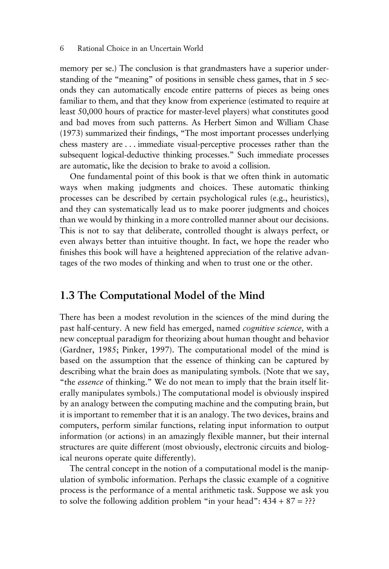memory per se.) The conclusion is that grandmasters have a superior understanding of the "meaning" of positions in sensible chess games, that in 5 seconds they can automatically encode entire patterns of pieces as being ones familiar to them, and that they know from experience (estimated to require at least 50,000 hours of practice for master-level players) what constitutes good and bad moves from such patterns. As Herbert Simon and William Chase (1973) summarized their findings, "The most important processes underlying chess mastery are ... immediate visual-perceptive processes rather than the subsequent logical-deductive thinking processes." Such immediate processes are automatic, like the decision to brake to avoid a collision.

One fundamental point of this book is that we often think in automatic ways when making judgments and choices. These automatic thinking processes can be described by certain psychological rules (e.g., heuristics), and they can systematically lead us to make poorer judgments and choices than we would by thinking in a more controlled manner about our decisions. This is not to say that deliberate, controlled thought is always perfect, or even always better than intuitive thought. In fact, we hope the reader who finishes this book will have a heightened appreciation of the relative advantages of the two modes of thinking and when to trust one or the other.

## **1.3 The Computational Model of the Mind**

There has been a modest revolution in the sciences of the mind during the past half-century. A new field has emerged, named *cognitive science,* with a new conceptual paradigm for theorizing about human thought and behavior (Gardner, 1985; Pinker, 1997). The computational model of the mind is based on the assumption that the essence of thinking can be captured by describing what the brain does as manipulating symbols. (Note that we say, "the *essence* of thinking." We do not mean to imply that the brain itself literally manipulates symbols.) The computational model is obviously inspired by an analogy between the computing machine and the computing brain, but it is important to remember that it is an analogy. The two devices, brains and computers, perform similar functions, relating input information to output information (or actions) in an amazingly flexible manner, but their internal structures are quite different (most obviously, electronic circuits and biological neurons operate quite differently).

The central concept in the notion of a computational model is the manipulation of symbolic information. Perhaps the classic example of a cognitive process is the performance of a mental arithmetic task. Suppose we ask you to solve the following addition problem "in your head":  $434 + 87 = ?$ ??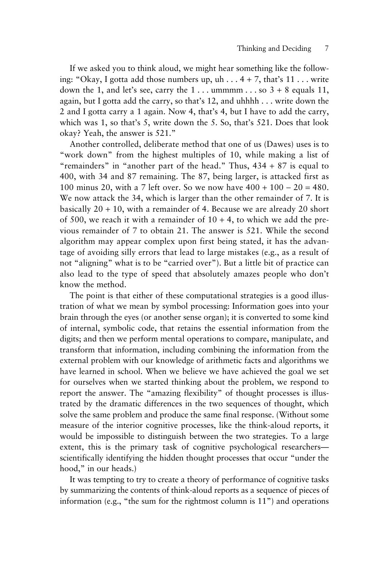If we asked you to think aloud, we might hear something like the following: "Okay, I gotta add those numbers up,  $uh \dots 4 + 7$ , that's  $11 \dots$  write down the 1, and let's see, carry the  $1 \dots$  ummmm ... so  $3 + 8$  equals 11, again, but I gotta add the carry, so that's 12, and uhhhh ... write down the 2 and I gotta carry a 1 again. Now 4, that's 4, but I have to add the carry, which was 1, so that's 5, write down the 5. So, that's 521. Does that look okay? Yeah, the answer is 521."

Another controlled, deliberate method that one of us (Dawes) uses is to "work down" from the highest multiples of 10, while making a list of "remainders" in "another part of the head." Thus,  $434 + 87$  is equal to 400, with 34 and 87 remaining. The 87, being larger, is attacked first as 100 minus 20, with a 7 left over. So we now have 400 + 100 − 20 = 480. We now attack the 34, which is larger than the other remainder of 7. It is basically 20 + 10, with a remainder of 4. Because we are already 20 short of 500, we reach it with a remainder of  $10 + 4$ , to which we add the previous remainder of 7 to obtain 21. The answer is 521. While the second algorithm may appear complex upon first being stated, it has the advantage of avoiding silly errors that lead to large mistakes (e.g., as a result of not "aligning" what is to be "carried over"). But a little bit of practice can also lead to the type of speed that absolutely amazes people who don't know the method.

The point is that either of these computational strategies is a good illustration of what we mean by symbol processing: Information goes into your brain through the eyes (or another sense organ); it is converted to some kind of internal, symbolic code, that retains the essential information from the digits; and then we perform mental operations to compare, manipulate, and transform that information, including combining the information from the external problem with our knowledge of arithmetic facts and algorithms we have learned in school. When we believe we have achieved the goal we set for ourselves when we started thinking about the problem, we respond to report the answer. The "amazing flexibility" of thought processes is illustrated by the dramatic differences in the two sequences of thought, which solve the same problem and produce the same final response. (Without some measure of the interior cognitive processes, like the think-aloud reports, it would be impossible to distinguish between the two strategies. To a large extent, this is the primary task of cognitive psychological researchers scientifically identifying the hidden thought processes that occur "under the hood," in our heads.)

It was tempting to try to create a theory of performance of cognitive tasks by summarizing the contents of think-aloud reports as a sequence of pieces of information (e.g., "the sum for the rightmost column is 11") and operations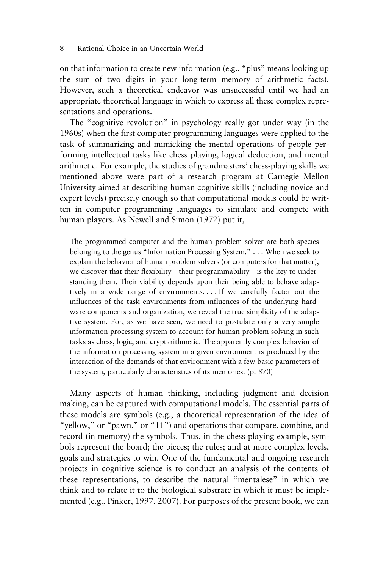#### 8 Rational Choice in an Uncertain World

on that information to create new information (e.g., "plus" means looking up the sum of two digits in your long-term memory of arithmetic facts). However, such a theoretical endeavor was unsuccessful until we had an appropriate theoretical language in which to express all these complex representations and operations.

The "cognitive revolution" in psychology really got under way (in the 1960s) when the first computer programming languages were applied to the task of summarizing and mimicking the mental operations of people performing intellectual tasks like chess playing, logical deduction, and mental arithmetic. For example, the studies of grandmasters' chess-playing skills we mentioned above were part of a research program at Carnegie Mellon University aimed at describing human cognitive skills (including novice and expert levels) precisely enough so that computational models could be written in computer programming languages to simulate and compete with human players. As Newell and Simon (1972) put it,

The programmed computer and the human problem solver are both species belonging to the genus "Information Processing System." ... When we seek to explain the behavior of human problem solvers (or computers for that matter), we discover that their flexibility—their programmability—is the key to understanding them. Their viability depends upon their being able to behave adaptively in a wide range of environments. ... If we carefully factor out the influences of the task environments from influences of the underlying hardware components and organization, we reveal the true simplicity of the adaptive system. For, as we have seen, we need to postulate only a very simple information processing system to account for human problem solving in such tasks as chess, logic, and cryptarithmetic. The apparently complex behavior of the information processing system in a given environment is produced by the interaction of the demands of that environment with a few basic parameters of the system, particularly characteristics of its memories. (p. 870)

Many aspects of human thinking, including judgment and decision making, can be captured with computational models. The essential parts of these models are symbols (e.g., a theoretical representation of the idea of "yellow," or "pawn," or "11") and operations that compare, combine, and record (in memory) the symbols. Thus, in the chess-playing example, symbols represent the board; the pieces; the rules; and at more complex levels, goals and strategies to win. One of the fundamental and ongoing research projects in cognitive science is to conduct an analysis of the contents of these representations, to describe the natural "mentalese" in which we think and to relate it to the biological substrate in which it must be implemented (e.g., Pinker, 1997, 2007). For purposes of the present book, we can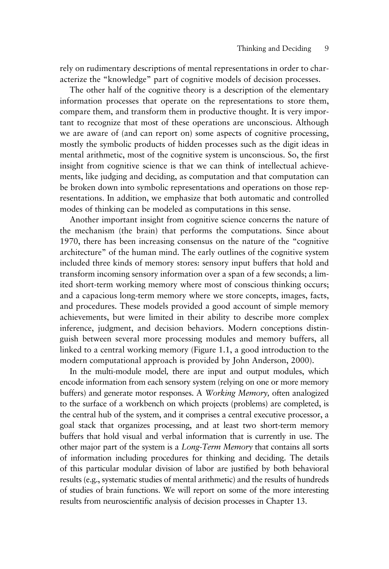rely on rudimentary descriptions of mental representations in order to characterize the "knowledge" part of cognitive models of decision processes.

The other half of the cognitive theory is a description of the elementary information processes that operate on the representations to store them, compare them, and transform them in productive thought. It is very important to recognize that most of these operations are unconscious. Although we are aware of (and can report on) some aspects of cognitive processing, mostly the symbolic products of hidden processes such as the digit ideas in mental arithmetic, most of the cognitive system is unconscious. So, the first insight from cognitive science is that we can think of intellectual achievements, like judging and deciding, as computation and that computation can be broken down into symbolic representations and operations on those representations. In addition, we emphasize that both automatic and controlled modes of thinking can be modeled as computations in this sense.

Another important insight from cognitive science concerns the nature of the mechanism (the brain) that performs the computations. Since about 1970, there has been increasing consensus on the nature of the "cognitive architecture" of the human mind. The early outlines of the cognitive system included three kinds of memory stores: sensory input buffers that hold and transform incoming sensory information over a span of a few seconds; a limited short-term working memory where most of conscious thinking occurs; and a capacious long-term memory where we store concepts, images, facts, and procedures. These models provided a good account of simple memory achievements, but were limited in their ability to describe more complex inference, judgment, and decision behaviors. Modern conceptions distinguish between several more processing modules and memory buffers, all linked to a central working memory (Figure 1.1, a good introduction to the modern computational approach is provided by John Anderson, 2000).

In the multi-module model*,* there are input and output modules, which encode information from each sensory system (relying on one or more memory buffers) and generate motor responses. A *Working Memory,* often analogized to the surface of a workbench on which projects (problems) are completed, is the central hub of the system, and it comprises a central executive processor, a goal stack that organizes processing, and at least two short-term memory buffers that hold visual and verbal information that is currently in use. The other major part of the system is a *Long-Term Memory* that contains all sorts of information including procedures for thinking and deciding. The details of this particular modular division of labor are justified by both behavioral results (e.g., systematic studies of mental arithmetic) and the results of hundreds of studies of brain functions. We will report on some of the more interesting results from neuroscientific analysis of decision processes in Chapter 13.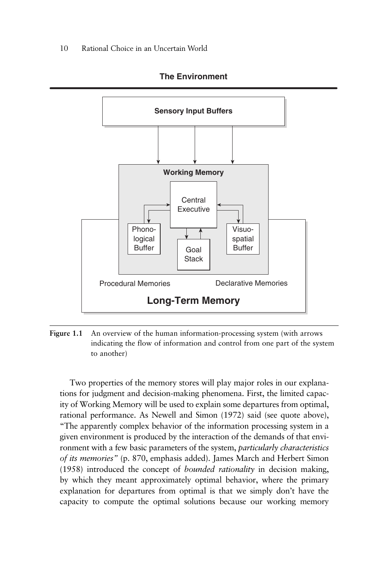10——Rational Choice in an Uncertain World



## **The Environment**

**Figure 1.1** An overview of the human information-processing system (with arrows indicating the flow of information and control from one part of the system to another)

Two properties of the memory stores will play major roles in our explanations for judgment and decision-making phenomena. First, the limited capacity of Working Memory will be used to explain some departures from optimal, rational performance. As Newell and Simon (1972) said (see quote above), "The apparently complex behavior of the information processing system in a given environment is produced by the interaction of the demands of that environment with a few basic parameters of the system, *particularly characteristics of its memories"* (p. 870, emphasis added). James March and Herbert Simon (1958) introduced the concept of *bounded rationality* in decision making, by which they meant approximately optimal behavior, where the primary explanation for departures from optimal is that we simply don't have the capacity to compute the optimal solutions because our working memory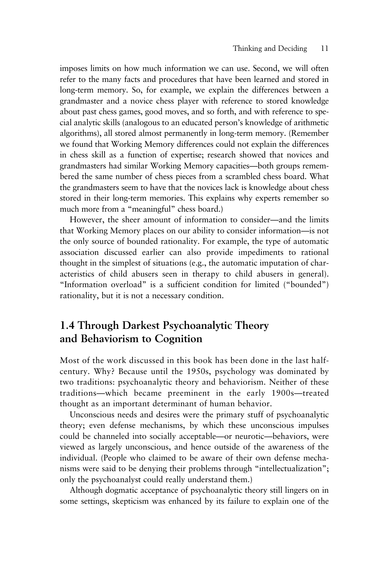imposes limits on how much information we can use. Second, we will often refer to the many facts and procedures that have been learned and stored in long-term memory. So, for example, we explain the differences between a grandmaster and a novice chess player with reference to stored knowledge about past chess games, good moves, and so forth, and with reference to special analytic skills (analogous to an educated person's knowledge of arithmetic algorithms), all stored almost permanently in long-term memory. (Remember we found that Working Memory differences could not explain the differences in chess skill as a function of expertise; research showed that novices and grandmasters had similar Working Memory capacities—both groups remembered the same number of chess pieces from a scrambled chess board. What the grandmasters seem to have that the novices lack is knowledge about chess stored in their long-term memories. This explains why experts remember so much more from a "meaningful" chess board.)

However, the sheer amount of information to consider—and the limits that Working Memory places on our ability to consider information—is not the only source of bounded rationality. For example, the type of automatic association discussed earlier can also provide impediments to rational thought in the simplest of situations (e.g., the automatic imputation of characteristics of child abusers seen in therapy to child abusers in general). "Information overload" is a sufficient condition for limited ("bounded") rationality, but it is not a necessary condition.

# **1.4 Through Darkest Psychoanalytic Theory and Behaviorism to Cognition**

Most of the work discussed in this book has been done in the last halfcentury. Why? Because until the 1950s, psychology was dominated by two traditions: psychoanalytic theory and behaviorism. Neither of these traditions—which became preeminent in the early 1900s—treated thought as an important determinant of human behavior.

Unconscious needs and desires were the primary stuff of psychoanalytic theory; even defense mechanisms, by which these unconscious impulses could be channeled into socially acceptable—or neurotic—behaviors, were viewed as largely unconscious, and hence outside of the awareness of the individual. (People who claimed to be aware of their own defense mechanisms were said to be denying their problems through "intellectualization"; only the psychoanalyst could really understand them.)

Although dogmatic acceptance of psychoanalytic theory still lingers on in some settings, skepticism was enhanced by its failure to explain one of the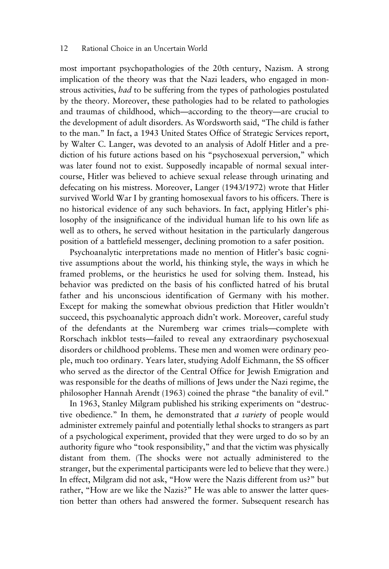### 12 — Rational Choice in an Uncertain World

most important psychopathologies of the 20th century, Nazism. A strong implication of the theory was that the Nazi leaders, who engaged in monstrous activities, *had* to be suffering from the types of pathologies postulated by the theory. Moreover, these pathologies had to be related to pathologies and traumas of childhood, which—according to the theory—are crucial to the development of adult disorders. As Wordsworth said, "The child is father to the man." In fact, a 1943 United States Office of Strategic Services report, by Walter C. Langer, was devoted to an analysis of Adolf Hitler and a prediction of his future actions based on his "psychosexual perversion," which was later found not to exist. Supposedly incapable of normal sexual intercourse, Hitler was believed to achieve sexual release through urinating and defecating on his mistress. Moreover, Langer (1943/1972) wrote that Hitler survived World War I by granting homosexual favors to his officers. There is no historical evidence of any such behaviors. In fact, applying Hitler's philosophy of the insignificance of the individual human life to his own life as well as to others, he served without hesitation in the particularly dangerous position of a battlefield messenger, declining promotion to a safer position.

Psychoanalytic interpretations made no mention of Hitler's basic cognitive assumptions about the world, his thinking style, the ways in which he framed problems, or the heuristics he used for solving them. Instead, his behavior was predicted on the basis of his conflicted hatred of his brutal father and his unconscious identification of Germany with his mother. Except for making the somewhat obvious prediction that Hitler wouldn't succeed, this psychoanalytic approach didn't work. Moreover, careful study of the defendants at the Nuremberg war crimes trials—complete with Rorschach inkblot tests—failed to reveal any extraordinary psychosexual disorders or childhood problems. These men and women were ordinary people, much too ordinary. Years later, studying Adolf Eichmann, the SS officer who served as the director of the Central Office for Jewish Emigration and was responsible for the deaths of millions of Jews under the Nazi regime, the philosopher Hannah Arendt (1963) coined the phrase "the banality of evil."

In 1963, Stanley Milgram published his striking experiments on "destructive obedience." In them, he demonstrated that *a variety* of people would administer extremely painful and potentially lethal shocks to strangers as part of a psychological experiment, provided that they were urged to do so by an authority figure who "took responsibility," and that the victim was physically distant from them. (The shocks were not actually administered to the stranger, but the experimental participants were led to believe that they were.) In effect, Milgram did not ask, "How were the Nazis different from us?" but rather, "How are we like the Nazis?" He was able to answer the latter question better than others had answered the former. Subsequent research has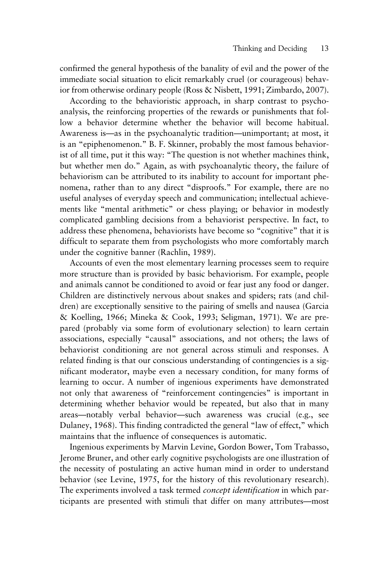confirmed the general hypothesis of the banality of evil and the power of the immediate social situation to elicit remarkably cruel (or courageous) behavior from otherwise ordinary people (Ross & Nisbett, 1991; Zimbardo, 2007).

According to the behavioristic approach, in sharp contrast to psychoanalysis, the reinforcing properties of the rewards or punishments that follow a behavior determine whether the behavior will become habitual. Awareness is—as in the psychoanalytic tradition—unimportant; at most, it is an "epiphenomenon." B. F. Skinner, probably the most famous behaviorist of all time, put it this way: "The question is not whether machines think, but whether men do." Again, as with psychoanalytic theory, the failure of behaviorism can be attributed to its inability to account for important phenomena, rather than to any direct "disproofs." For example, there are no useful analyses of everyday speech and communication; intellectual achievements like "mental arithmetic" or chess playing; or behavior in modestly complicated gambling decisions from a behaviorist perspective. In fact, to address these phenomena, behaviorists have become so "cognitive" that it is difficult to separate them from psychologists who more comfortably march under the cognitive banner (Rachlin, 1989).

Accounts of even the most elementary learning processes seem to require more structure than is provided by basic behaviorism. For example, people and animals cannot be conditioned to avoid or fear just any food or danger. Children are distinctively nervous about snakes and spiders; rats (and children) are exceptionally sensitive to the pairing of smells and nausea (Garcia & Koelling, 1966; Mineka & Cook, 1993; Seligman, 1971). We are prepared (probably via some form of evolutionary selection) to learn certain associations, especially "causal" associations, and not others; the laws of behaviorist conditioning are not general across stimuli and responses. A related finding is that our conscious understanding of contingencies is a significant moderator, maybe even a necessary condition, for many forms of learning to occur. A number of ingenious experiments have demonstrated not only that awareness of "reinforcement contingencies" is important in determining whether behavior would be repeated, but also that in many areas—notably verbal behavior—such awareness was crucial (e.g., see Dulaney, 1968). This finding contradicted the general "law of effect," which maintains that the influence of consequences is automatic.

Ingenious experiments by Marvin Levine, Gordon Bower, Tom Trabasso, Jerome Bruner, and other early cognitive psychologists are one illustration of the necessity of postulating an active human mind in order to understand behavior (see Levine, 1975, for the history of this revolutionary research). The experiments involved a task termed *concept identification* in which participants are presented with stimuli that differ on many attributes—most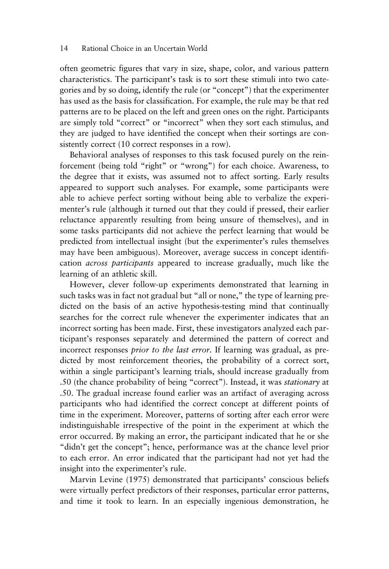often geometric figures that vary in size, shape, color, and various pattern characteristics. The participant's task is to sort these stimuli into two categories and by so doing, identify the rule (or "concept") that the experimenter has used as the basis for classification. For example, the rule may be that red patterns are to be placed on the left and green ones on the right. Participants are simply told "correct" or "incorrect" when they sort each stimulus, and they are judged to have identified the concept when their sortings are consistently correct (10 correct responses in a row).

Behavioral analyses of responses to this task focused purely on the reinforcement (being told "right" or "wrong") for each choice. Awareness, to the degree that it exists, was assumed not to affect sorting. Early results appeared to support such analyses. For example, some participants were able to achieve perfect sorting without being able to verbalize the experimenter's rule (although it turned out that they could if pressed, their earlier reluctance apparently resulting from being unsure of themselves), and in some tasks participants did not achieve the perfect learning that would be predicted from intellectual insight (but the experimenter's rules themselves may have been ambiguous). Moreover, average success in concept identification *across participants* appeared to increase gradually, much like the learning of an athletic skill.

However, clever follow-up experiments demonstrated that learning in such tasks was in fact not gradual but "all or none," the type of learning predicted on the basis of an active hypothesis-testing mind that continually searches for the correct rule whenever the experimenter indicates that an incorrect sorting has been made. First, these investigators analyzed each participant's responses separately and determined the pattern of correct and incorrect responses *prior to the last error.* If learning was gradual, as predicted by most reinforcement theories, the probability of a correct sort, within a single participant's learning trials, should increase gradually from .50 (the chance probability of being "correct"). Instead, it was *stationary* at .50. The gradual increase found earlier was an artifact of averaging across participants who had identified the correct concept at different points of time in the experiment. Moreover, patterns of sorting after each error were indistinguishable irrespective of the point in the experiment at which the error occurred. By making an error, the participant indicated that he or she "didn't get the concept"; hence, performance was at the chance level prior to each error. An error indicated that the participant had not yet had the insight into the experimenter's rule.

Marvin Levine (1975) demonstrated that participants' conscious beliefs were virtually perfect predictors of their responses, particular error patterns, and time it took to learn. In an especially ingenious demonstration, he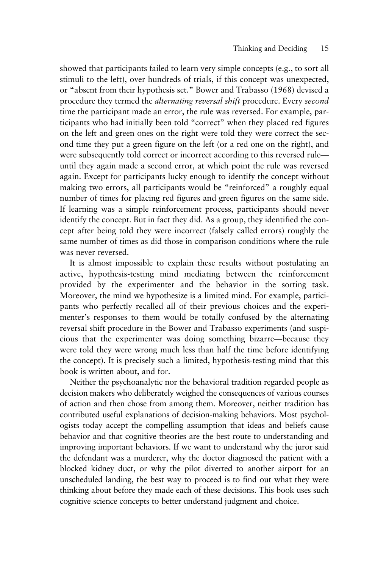showed that participants failed to learn very simple concepts (e.g., to sort all stimuli to the left), over hundreds of trials, if this concept was unexpected, or "absent from their hypothesis set." Bower and Trabasso (1968) devised a procedure they termed the *alternating reversal shift* procedure. Every *second* time the participant made an error, the rule was reversed. For example, participants who had initially been told "correct" when they placed red figures on the left and green ones on the right were told they were correct the second time they put a green figure on the left (or a red one on the right), and were subsequently told correct or incorrect according to this reversed rule until they again made a second error, at which point the rule was reversed again. Except for participants lucky enough to identify the concept without making two errors, all participants would be "reinforced" a roughly equal number of times for placing red figures and green figures on the same side. If learning was a simple reinforcement process, participants should never identify the concept. But in fact they did. As a group, they identified the concept after being told they were incorrect (falsely called errors) roughly the same number of times as did those in comparison conditions where the rule was never reversed.

It is almost impossible to explain these results without postulating an active, hypothesis-testing mind mediating between the reinforcement provided by the experimenter and the behavior in the sorting task. Moreover, the mind we hypothesize is a limited mind. For example, participants who perfectly recalled all of their previous choices and the experimenter's responses to them would be totally confused by the alternating reversal shift procedure in the Bower and Trabasso experiments (and suspicious that the experimenter was doing something bizarre—because they were told they were wrong much less than half the time before identifying the concept). It is precisely such a limited, hypothesis-testing mind that this book is written about, and for.

Neither the psychoanalytic nor the behavioral tradition regarded people as decision makers who deliberately weighed the consequences of various courses of action and then chose from among them. Moreover, neither tradition has contributed useful explanations of decision-making behaviors. Most psychologists today accept the compelling assumption that ideas and beliefs cause behavior and that cognitive theories are the best route to understanding and improving important behaviors. If we want to understand why the juror said the defendant was a murderer, why the doctor diagnosed the patient with a blocked kidney duct, or why the pilot diverted to another airport for an unscheduled landing, the best way to proceed is to find out what they were thinking about before they made each of these decisions. This book uses such cognitive science concepts to better understand judgment and choice.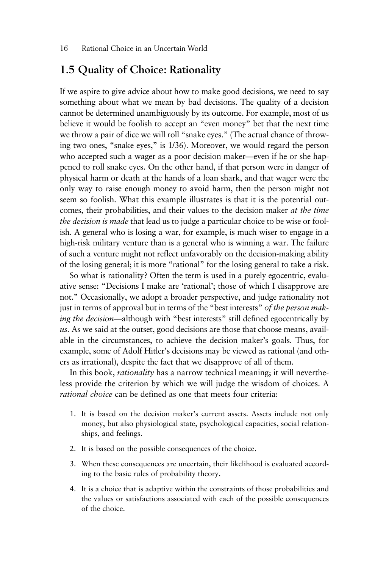# **1.5 Quality of Choice: Rationality**

If we aspire to give advice about how to make good decisions, we need to say something about what we mean by bad decisions. The quality of a decision cannot be determined unambiguously by its outcome. For example, most of us believe it would be foolish to accept an "even money" bet that the next time we throw a pair of dice we will roll "snake eyes." (The actual chance of throwing two ones, "snake eyes," is 1/36). Moreover, we would regard the person who accepted such a wager as a poor decision maker—even if he or she happened to roll snake eyes. On the other hand, if that person were in danger of physical harm or death at the hands of a loan shark, and that wager were the only way to raise enough money to avoid harm, then the person might not seem so foolish. What this example illustrates is that it is the potential outcomes, their probabilities, and their values to the decision maker *at the time the decision is made* that lead us to judge a particular choice to be wise or foolish. A general who is losing a war, for example, is much wiser to engage in a high-risk military venture than is a general who is winning a war. The failure of such a venture might not reflect unfavorably on the decision-making ability of the losing general; it is more "rational" for the losing general to take a risk.

So what is rationality? Often the term is used in a purely egocentric, evaluative sense: "Decisions I make are 'rational'; those of which I disapprove are not." Occasionally, we adopt a broader perspective, and judge rationality not just in terms of approval but in terms of the "best interests" *of the person making the decision—*although with "best interests" still defined egocentrically by *us.* As we said at the outset, good decisions are those that choose means, available in the circumstances, to achieve the decision maker's goals. Thus, for example, some of Adolf Hitler's decisions may be viewed as rational (and others as irrational), despite the fact that we disapprove of all of them.

In this book, *rationality* has a narrow technical meaning; it will nevertheless provide the criterion by which we will judge the wisdom of choices. A *rational choice* can be defined as one that meets four criteria:

- 1. It is based on the decision maker's current assets. Assets include not only money, but also physiological state, psychological capacities, social relationships, and feelings.
- 2. It is based on the possible consequences of the choice.
- 3. When these consequences are uncertain, their likelihood is evaluated according to the basic rules of probability theory.
- 4. It is a choice that is adaptive within the constraints of those probabilities and the values or satisfactions associated with each of the possible consequences of the choice.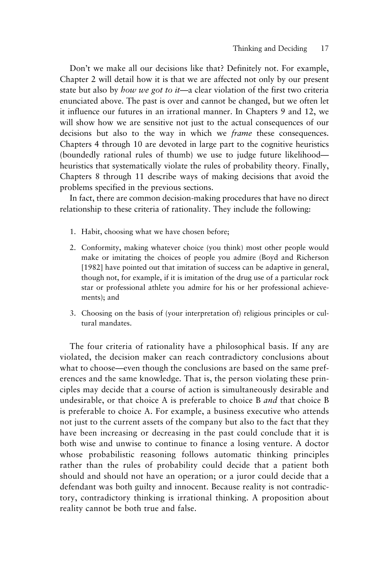Don't we make all our decisions like that? Definitely not. For example, Chapter 2 will detail how it is that we are affected not only by our present state but also by *how we got to it*—a clear violation of the first two criteria enunciated above*.* The past is over and cannot be changed, but we often let it influence our futures in an irrational manner. In Chapters 9 and 12, we will show how we are sensitive not just to the actual consequences of our decisions but also to the way in which we *frame* these consequences. Chapters 4 through 10 are devoted in large part to the cognitive heuristics (boundedly rational rules of thumb) we use to judge future likelihood heuristics that systematically violate the rules of probability theory. Finally, Chapters 8 through 11 describe ways of making decisions that avoid the problems specified in the previous sections.

In fact, there are common decision-making procedures that have no direct relationship to these criteria of rationality. They include the following:

- 1. Habit, choosing what we have chosen before;
- 2. Conformity, making whatever choice (you think) most other people would make or imitating the choices of people you admire (Boyd and Richerson [1982] have pointed out that imitation of success can be adaptive in general, though not, for example, if it is imitation of the drug use of a particular rock star or professional athlete you admire for his or her professional achievements); and
- 3. Choosing on the basis of (your interpretation of) religious principles or cultural mandates.

The four criteria of rationality have a philosophical basis. If any are violated, the decision maker can reach contradictory conclusions about what to choose—even though the conclusions are based on the same preferences and the same knowledge. That is, the person violating these principles may decide that a course of action is simultaneously desirable and undesirable, or that choice A is preferable to choice B *and* that choice B is preferable to choice A. For example, a business executive who attends not just to the current assets of the company but also to the fact that they have been increasing or decreasing in the past could conclude that it is both wise and unwise to continue to finance a losing venture. A doctor whose probabilistic reasoning follows automatic thinking principles rather than the rules of probability could decide that a patient both should and should not have an operation; or a juror could decide that a defendant was both guilty and innocent. Because reality is not contradictory, contradictory thinking is irrational thinking. A proposition about reality cannot be both true and false.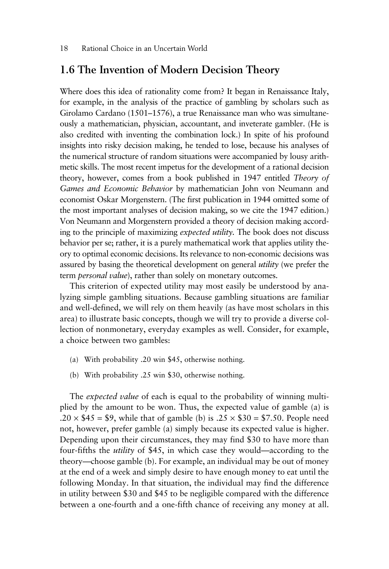## **1.6 The Invention of Modern Decision Theory**

Where does this idea of rationality come from? It began in Renaissance Italy, for example, in the analysis of the practice of gambling by scholars such as Girolamo Cardano (1501–1576), a true Renaissance man who was simultaneously a mathematician, physician, accountant, and inveterate gambler. (He is also credited with inventing the combination lock.) In spite of his profound insights into risky decision making, he tended to lose, because his analyses of the numerical structure of random situations were accompanied by lousy arithmetic skills. The most recent impetus for the development of a rational decision theory, however, comes from a book published in 1947 entitled *Theory of Games and Economic Behavior* by mathematician John von Neumann and economist Oskar Morgenstern. (The first publication in 1944 omitted some of the most important analyses of decision making, so we cite the 1947 edition.) Von Neumann and Morgenstern provided a theory of decision making according to the principle of maximizing *expected utility.* The book does not discuss behavior per se; rather, it is a purely mathematical work that applies utility theory to optimal economic decisions. Its relevance to non-economic decisions was assured by basing the theoretical development on general *utility* (we prefer the term *personal value*), rather than solely on monetary outcomes.

This criterion of expected utility may most easily be understood by analyzing simple gambling situations. Because gambling situations are familiar and well-defined, we will rely on them heavily (as have most scholars in this area) to illustrate basic concepts, though we will try to provide a diverse collection of nonmonetary, everyday examples as well. Consider, for example, a choice between two gambles:

- (a) With probability .20 win \$45, otherwise nothing.
- (b) With probability .25 win \$30, otherwise nothing.

The *expected value* of each is equal to the probability of winning multiplied by the amount to be won. Thus, the expected value of gamble (a) is .20  $\times$  \$45 = \$9, while that of gamble (b) is .25  $\times$  \$30 = \$7.50. People need not, however, prefer gamble (a) simply because its expected value is higher. Depending upon their circumstances, they may find \$30 to have more than four-fifths the *utility* of \$45, in which case they would—according to the theory—choose gamble (b). For example, an individual may be out of money at the end of a week and simply desire to have enough money to eat until the following Monday. In that situation, the individual may find the difference in utility between \$30 and \$45 to be negligible compared with the difference between a one-fourth and a one-fifth chance of receiving any money at all.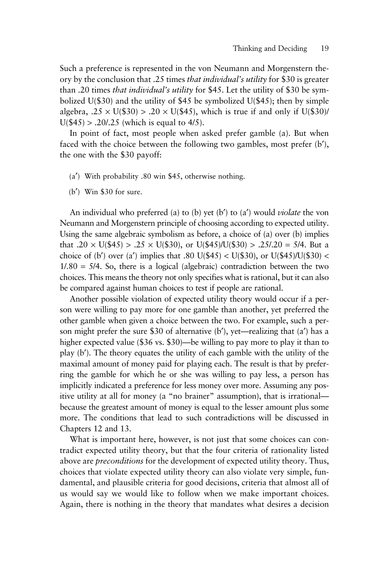Such a preference is represented in the von Neumann and Morgenstern theory by the conclusion that .25 times *that individual's utility* for \$30 is greater than .20 times *that individual's utility* for \$45. Let the utility of \$30 be symbolized  $U(\$30)$  and the utility of \$45 be symbolized  $U(\$45)$ ; then by simple algebra,  $.25 \times U(\$30) > .20 \times U(\$45)$ , which is true if and only if U(\$30)/  $U(\$45) > .20/.25$  (which is equal to 4/5).

In point of fact, most people when asked prefer gamble (a). But when faced with the choice between the following two gambles, most prefer (b′), the one with the \$30 payoff:

- (a′) With probability .80 win \$45, otherwise nothing.
- (b′) Win \$30 for sure.

An individual who preferred (a) to (b) yet (b′) to (a′) would *violate* the von Neumann and Morgenstern principle of choosing according to expected utility. Using the same algebraic symbolism as before, a choice of (a) over (b) implies that .20  $\times$  U(\$45) > .25  $\times$  U(\$30), or U(\$45)/U(\$30) > .25/.20 = 5/4. But a choice of (b') over (a') implies that .80 U(\$45) < U(\$30), or U(\$45)/U(\$30) <  $1/80 = 5/4$ . So, there is a logical (algebraic) contradiction between the two choices. This means the theory not only specifies what is rational, but it can also be compared against human choices to test if people are rational.

Another possible violation of expected utility theory would occur if a person were willing to pay more for one gamble than another, yet preferred the other gamble when given a choice between the two. For example, such a person might prefer the sure \$30 of alternative (b′), yet—realizing that (a′) has a higher expected value (\$36 vs. \$30)—be willing to pay more to play it than to play (b′). The theory equates the utility of each gamble with the utility of the maximal amount of money paid for playing each. The result is that by preferring the gamble for which he or she was willing to pay less, a person has implicitly indicated a preference for less money over more. Assuming any positive utility at all for money (a "no brainer" assumption), that is irrational because the greatest amount of money is equal to the lesser amount plus some more. The conditions that lead to such contradictions will be discussed in Chapters 12 and 13.

What is important here, however, is not just that some choices can contradict expected utility theory, but that the four criteria of rationality listed above are *preconditions* for the development of expected utility theory. Thus, choices that violate expected utility theory can also violate very simple, fundamental, and plausible criteria for good decisions, criteria that almost all of us would say we would like to follow when we make important choices. Again, there is nothing in the theory that mandates what desires a decision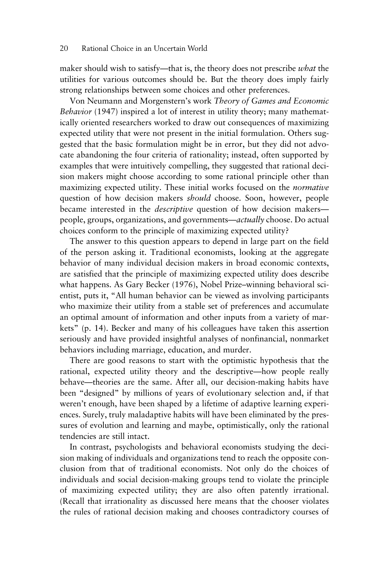#### 20 Rational Choice in an Uncertain World

maker should wish to satisfy—that is, the theory does not prescribe *what* the utilities for various outcomes should be. But the theory does imply fairly strong relationships between some choices and other preferences.

Von Neumann and Morgenstern's work *Theory of Games and Economic Behavior* (1947) inspired a lot of interest in utility theory; many mathematically oriented researchers worked to draw out consequences of maximizing expected utility that were not present in the initial formulation. Others suggested that the basic formulation might be in error, but they did not advocate abandoning the four criteria of rationality; instead, often supported by examples that were intuitively compelling, they suggested that rational decision makers might choose according to some rational principle other than maximizing expected utility. These initial works focused on the *normative* question of how decision makers *should* choose. Soon, however, people became interested in the *descriptive* question of how decision makers people, groups, organizations, and governments—*actually* choose. Do actual choices conform to the principle of maximizing expected utility?

The answer to this question appears to depend in large part on the field of the person asking it. Traditional economists, looking at the aggregate behavior of many individual decision makers in broad economic contexts, are satisfied that the principle of maximizing expected utility does describe what happens. As Gary Becker (1976), Nobel Prize–winning behavioral scientist, puts it, "All human behavior can be viewed as involving participants who maximize their utility from a stable set of preferences and accumulate an optimal amount of information and other inputs from a variety of markets" (p. 14). Becker and many of his colleagues have taken this assertion seriously and have provided insightful analyses of nonfinancial, nonmarket behaviors including marriage, education, and murder.

There are good reasons to start with the optimistic hypothesis that the rational, expected utility theory and the descriptive—how people really behave—theories are the same. After all, our decision-making habits have been "designed" by millions of years of evolutionary selection and, if that weren't enough, have been shaped by a lifetime of adaptive learning experiences. Surely, truly maladaptive habits will have been eliminated by the pressures of evolution and learning and maybe, optimistically, only the rational tendencies are still intact.

In contrast, psychologists and behavioral economists studying the decision making of individuals and organizations tend to reach the opposite conclusion from that of traditional economists. Not only do the choices of individuals and social decision-making groups tend to violate the principle of maximizing expected utility; they are also often patently irrational. (Recall that irrationality as discussed here means that the chooser violates the rules of rational decision making and chooses contradictory courses of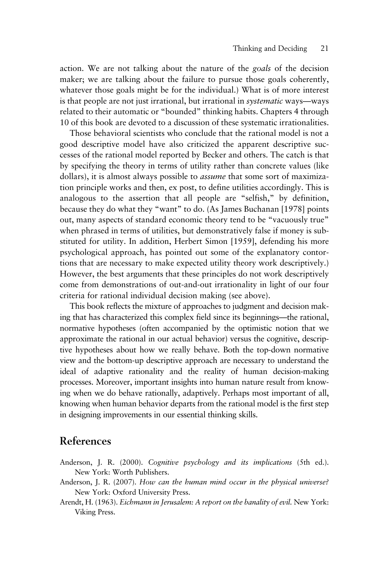action. We are not talking about the nature of the *goals* of the decision maker; we are talking about the failure to pursue those goals coherently, whatever those goals might be for the individual.) What is of more interest is that people are not just irrational, but irrational in *systematic* ways—ways related to their automatic or "bounded" thinking habits. Chapters 4 through 10 of this book are devoted to a discussion of these systematic irrationalities.

Those behavioral scientists who conclude that the rational model is not a good descriptive model have also criticized the apparent descriptive successes of the rational model reported by Becker and others. The catch is that by specifying the theory in terms of utility rather than concrete values (like dollars), it is almost always possible to *assume* that some sort of maximization principle works and then, ex post, to define utilities accordingly. This is analogous to the assertion that all people are "selfish," by definition, because they do what they "want" to do. (As James Buchanan [1978] points out, many aspects of standard economic theory tend to be "vacuously true" when phrased in terms of utilities, but demonstratively false if money is substituted for utility. In addition, Herbert Simon [1959], defending his more psychological approach, has pointed out some of the explanatory contortions that are necessary to make expected utility theory work descriptively.) However, the best arguments that these principles do not work descriptively come from demonstrations of out-and-out irrationality in light of our four criteria for rational individual decision making (see above).

This book reflects the mixture of approaches to judgment and decision making that has characterized this complex field since its beginnings—the rational, normative hypotheses (often accompanied by the optimistic notion that we approximate the rational in our actual behavior) versus the cognitive, descriptive hypotheses about how we really behave. Both the top-down normative view and the bottom-up descriptive approach are necessary to understand the ideal of adaptive rationality and the reality of human decision-making processes. Moreover, important insights into human nature result from knowing when we do behave rationally, adaptively. Perhaps most important of all, knowing when human behavior departs from the rational model is the first step in designing improvements in our essential thinking skills.

## **References**

- Anderson, J. R. (2000). *Cognitive psychology and its implications* (5th ed.). New York: Worth Publishers.
- Anderson, J. R. (2007). *How can the human mind occur in the physical universe?* New York: Oxford University Press.
- Arendt, H. (1963). *Eichmann in Jerusalem: A report on the banality of evil.* New York: Viking Press.